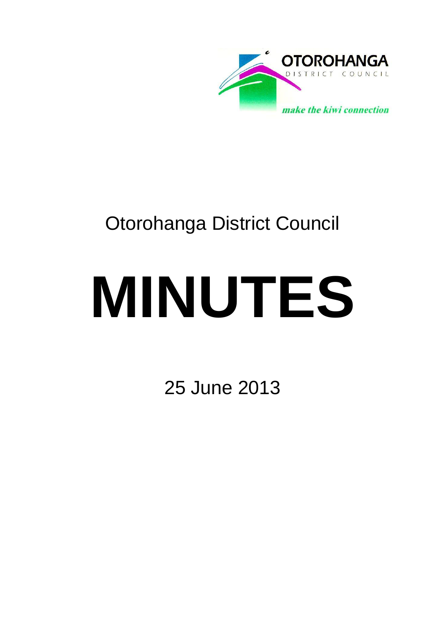

# Otorohanga District Council

# **MINUTES**

25 June 2013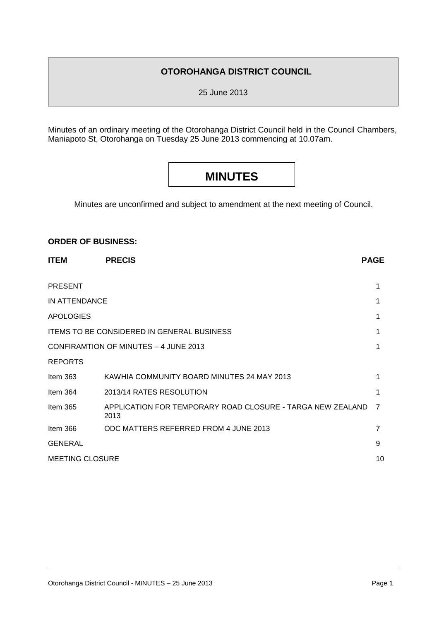# **OTOROHANGA DISTRICT COUNCIL**

25 June 2013

Minutes of an ordinary meeting of the Otorohanga District Council held in the Council Chambers, Maniapoto St, Otorohanga on Tuesday 25 June 2013 commencing at 10.07am.

# **MINUTES**

Minutes are unconfirmed and subject to amendment at the next meeting of Council.

#### **ORDER OF BUSINESS:**

| <b>ITEM</b>                                       | <b>PRECIS</b>                                                                                                                                                                         |                                           |  |  |  |
|---------------------------------------------------|---------------------------------------------------------------------------------------------------------------------------------------------------------------------------------------|-------------------------------------------|--|--|--|
|                                                   |                                                                                                                                                                                       |                                           |  |  |  |
|                                                   |                                                                                                                                                                                       | <b>PAGE</b><br>1<br>1<br>1<br>7<br>7<br>9 |  |  |  |
| IN ATTENDANCE                                     | KAWHIA COMMUNITY BOARD MINUTES 24 MAY 2013<br>2013/14 RATES RESOLUTION<br>APPLICATION FOR TEMPORARY ROAD CLOSURE - TARGA NEW ZEALAND<br>2013<br>ODC MATTERS REFERRED FROM 4 JUNE 2013 |                                           |  |  |  |
| <b>APOLOGIES</b>                                  | <b>PRESENT</b><br>10                                                                                                                                                                  |                                           |  |  |  |
| <b>ITEMS TO BE CONSIDERED IN GENERAL BUSINESS</b> |                                                                                                                                                                                       |                                           |  |  |  |
| CONFIRAMTION OF MINUTES - 4 JUNE 2013             |                                                                                                                                                                                       |                                           |  |  |  |
| <b>REPORTS</b>                                    |                                                                                                                                                                                       |                                           |  |  |  |
| Item $363$                                        |                                                                                                                                                                                       |                                           |  |  |  |
| Item 364                                          |                                                                                                                                                                                       |                                           |  |  |  |
| Item 365                                          |                                                                                                                                                                                       |                                           |  |  |  |
| Item $366$                                        |                                                                                                                                                                                       |                                           |  |  |  |
| <b>GENERAL</b>                                    |                                                                                                                                                                                       |                                           |  |  |  |
| <b>MEETING CLOSURE</b>                            |                                                                                                                                                                                       |                                           |  |  |  |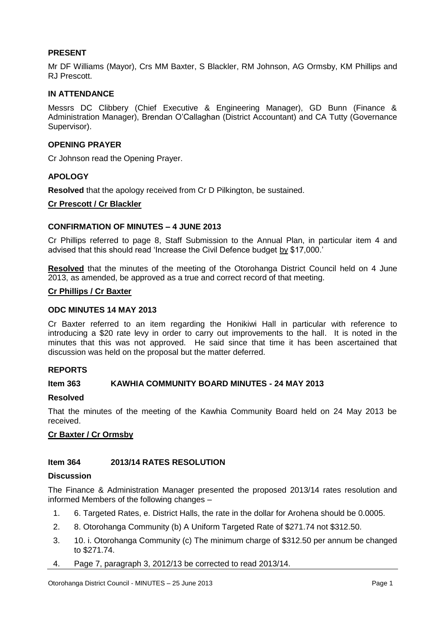# **PRESENT**

Mr DF Williams (Mayor), Crs MM Baxter, S Blackler, RM Johnson, AG Ormsby, KM Phillips and RJ Prescott.

#### **IN ATTENDANCE**

Messrs DC Clibbery (Chief Executive & Engineering Manager), GD Bunn (Finance & Administration Manager), Brendan O'Callaghan (District Accountant) and CA Tutty (Governance Supervisor).

#### **OPENING PRAYER**

Cr Johnson read the Opening Prayer.

#### **APOLOGY**

**Resolved** that the apology received from Cr D Pilkington, be sustained.

#### **Cr Prescott / Cr Blackler**

#### **CONFIRMATION OF MINUTES – 4 JUNE 2013**

Cr Phillips referred to page 8, Staff Submission to the Annual Plan, in particular item 4 and advised that this should read 'Increase the Civil Defence budget by \$17,000.'

**Resolved** that the minutes of the meeting of the Otorohanga District Council held on 4 June 2013, as amended, be approved as a true and correct record of that meeting.

#### **Cr Phillips / Cr Baxter**

#### **ODC MINUTES 14 MAY 2013**

Cr Baxter referred to an item regarding the Honikiwi Hall in particular with reference to introducing a \$20 rate levy in order to carry out improvements to the hall. It is noted in the minutes that this was not approved. He said since that time it has been ascertained that discussion was held on the proposal but the matter deferred.

# **REPORTS**

#### **Item 363 KAWHIA COMMUNITY BOARD MINUTES - 24 MAY 2013**

#### **Resolved**

That the minutes of the meeting of the Kawhia Community Board held on 24 May 2013 be received.

## **Cr Baxter / Cr Ormsby**

#### **Item 364 2013/14 RATES RESOLUTION**

#### **Discussion**

The Finance & Administration Manager presented the proposed 2013/14 rates resolution and informed Members of the following changes –

- 1. 6. Targeted Rates, e. District Halls, the rate in the dollar for Arohena should be 0.0005.
- 2. 8. Otorohanga Community (b) A Uniform Targeted Rate of \$271.74 not \$312.50.
- 3. 10. i. Otorohanga Community (c) The minimum charge of \$312.50 per annum be changed to \$271.74.
- 4. Page 7, paragraph 3, 2012/13 be corrected to read 2013/14.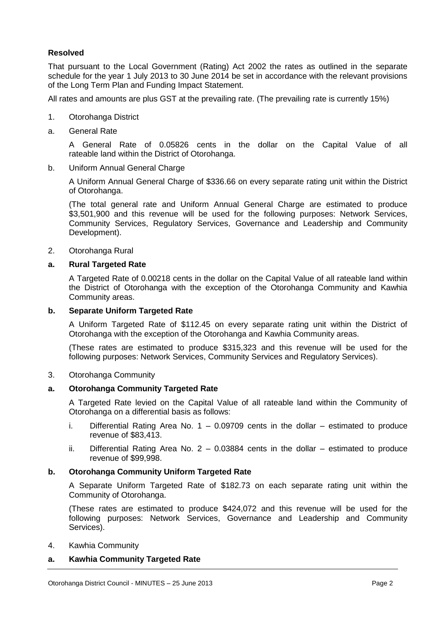# **Resolved**

That pursuant to the Local Government (Rating) Act 2002 the rates as outlined in the separate schedule for the year 1 July 2013 to 30 June 2014 be set in accordance with the relevant provisions of the Long Term Plan and Funding Impact Statement.

All rates and amounts are plus GST at the prevailing rate. (The prevailing rate is currently 15%)

- 1. Otorohanga District
- a. General Rate

A General Rate of 0.05826 cents in the dollar on the Capital Value of all rateable land within the District of Otorohanga.

b. Uniform Annual General Charge

A Uniform Annual General Charge of \$336.66 on every separate rating unit within the District of Otorohanga.

(The total general rate and Uniform Annual General Charge are estimated to produce \$3,501,900 and this revenue will be used for the following purposes: Network Services, Community Services, Regulatory Services, Governance and Leadership and Community Development).

2. Otorohanga Rural

#### **a. Rural Targeted Rate**

A Targeted Rate of 0.00218 cents in the dollar on the Capital Value of all rateable land within the District of Otorohanga with the exception of the Otorohanga Community and Kawhia Community areas.

#### **b. Separate Uniform Targeted Rate**

A Uniform Targeted Rate of \$112.45 on every separate rating unit within the District of Otorohanga with the exception of the Otorohanga and Kawhia Community areas.

(These rates are estimated to produce \$315,323 and this revenue will be used for the following purposes: Network Services, Community Services and Regulatory Services).

#### 3. Otorohanga Community

#### **a. Otorohanga Community Targeted Rate**

A Targeted Rate levied on the Capital Value of all rateable land within the Community of Otorohanga on a differential basis as follows:

- i. Differential Rating Area No.  $1 0.09709$  cents in the dollar estimated to produce revenue of \$83,413.
- ii. Differential Rating Area No.  $2 0.03884$  cents in the dollar estimated to produce revenue of \$99,998.

## **b. Otorohanga Community Uniform Targeted Rate**

A Separate Uniform Targeted Rate of \$182.73 on each separate rating unit within the Community of Otorohanga.

(These rates are estimated to produce \$424,072 and this revenue will be used for the following purposes: Network Services, Governance and Leadership and Community Services).

4. Kawhia Community

# **a. Kawhia Community Targeted Rate**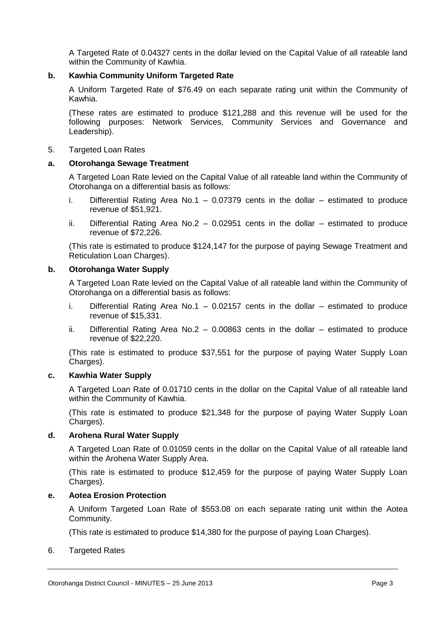A Targeted Rate of 0.04327 cents in the dollar levied on the Capital Value of all rateable land within the Community of Kawhia.

#### **b. Kawhia Community Uniform Targeted Rate**

A Uniform Targeted Rate of \$76.49 on each separate rating unit within the Community of Kawhia.

(These rates are estimated to produce \$121,288 and this revenue will be used for the following purposes: Network Services, Community Services and Governance and Leadership).

#### 5. Targeted Loan Rates

#### **a. Otorohanga Sewage Treatment**

A Targeted Loan Rate levied on the Capital Value of all rateable land within the Community of Otorohanga on a differential basis as follows:

- i. Differential Rating Area No.1  $-$  0.07379 cents in the dollar  $-$  estimated to produce revenue of \$51,921.
- ii. Differential Rating Area No.2 0.02951 cents in the dollar estimated to produce revenue of \$72,226.

(This rate is estimated to produce \$124,147 for the purpose of paying Sewage Treatment and Reticulation Loan Charges).

#### **b. Otorohanga Water Supply**

A Targeted Loan Rate levied on the Capital Value of all rateable land within the Community of Otorohanga on a differential basis as follows:

- i. Differential Rating Area No.1  $-$  0.02157 cents in the dollar  $-$  estimated to produce revenue of \$15,331.
- ii. Differential Rating Area No.2  $-$  0.00863 cents in the dollar  $-$  estimated to produce revenue of \$22,220.

(This rate is estimated to produce \$37,551 for the purpose of paying Water Supply Loan Charges).

#### **c. Kawhia Water Supply**

A Targeted Loan Rate of 0.01710 cents in the dollar on the Capital Value of all rateable land within the Community of Kawhia.

(This rate is estimated to produce \$21,348 for the purpose of paying Water Supply Loan Charges).

#### **d. Arohena Rural Water Supply**

A Targeted Loan Rate of 0.01059 cents in the dollar on the Capital Value of all rateable land within the Arohena Water Supply Area.

(This rate is estimated to produce \$12,459 for the purpose of paying Water Supply Loan Charges).

#### **e. Aotea Erosion Protection**

A Uniform Targeted Loan Rate of \$553.08 on each separate rating unit within the Aotea Community.

(This rate is estimated to produce \$14,380 for the purpose of paying Loan Charges).

#### 6. Targeted Rates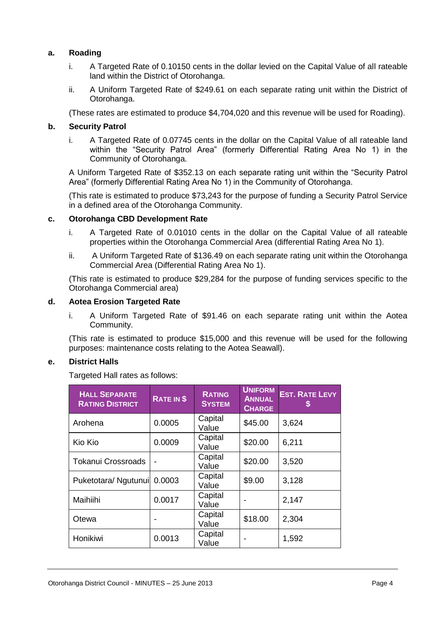# **a. Roading**

- i. A Targeted Rate of 0.10150 cents in the dollar levied on the Capital Value of all rateable land within the District of Otorohanga.
- ii. A Uniform Targeted Rate of \$249.61 on each separate rating unit within the District of Otorohanga.

(These rates are estimated to produce \$4,704,020 and this revenue will be used for Roading).

#### **b. Security Patrol**

i. A Targeted Rate of 0.07745 cents in the dollar on the Capital Value of all rateable land within the "Security Patrol Area" (formerly Differential Rating Area No 1) in the Community of Otorohanga.

A Uniform Targeted Rate of \$352.13 on each separate rating unit within the "Security Patrol Area" (formerly Differential Rating Area No 1) in the Community of Otorohanga.

(This rate is estimated to produce \$73,243 for the purpose of funding a Security Patrol Service in a defined area of the Otorohanga Community.

#### **c. Otorohanga CBD Development Rate**

- i. A Targeted Rate of 0.01010 cents in the dollar on the Capital Value of all rateable properties within the Otorohanga Commercial Area (differential Rating Area No 1).
- ii. A Uniform Targeted Rate of \$136.49 on each separate rating unit within the Otorohanga Commercial Area (Differential Rating Area No 1).

(This rate is estimated to produce \$29,284 for the purpose of funding services specific to the Otorohanga Commercial area)

#### **d. Aotea Erosion Targeted Rate**

i. A Uniform Targeted Rate of \$91.46 on each separate rating unit within the Aotea Community.

(This rate is estimated to produce \$15,000 and this revenue will be used for the following purposes: maintenance costs relating to the Aotea Seawall).

## **e. District Halls**

Targeted Hall rates as follows:

| <b>HALL SEPARATE</b><br><b>RATING DISTRICT</b> | <b>RATE IN \$</b> | <b>RATING</b><br><b>SYSTEM</b> | <b>UNIFORM</b><br><b>ANNUAL</b><br><b>CHARGE</b> | <b>EST. RATE LEVY</b> |
|------------------------------------------------|-------------------|--------------------------------|--------------------------------------------------|-----------------------|
| Arohena                                        | 0.0005            | Capital<br>Value               | \$45.00                                          | 3,624                 |
| Kio Kio                                        | 0.0009            | Capital<br>Value               | \$20.00                                          | 6,211                 |
| <b>Tokanui Crossroads</b>                      |                   | Capital<br>Value               | \$20.00                                          | 3,520                 |
| Puketotara/ Ngutunui  0.0003                   |                   | Capital<br>Value               | \$9.00                                           | 3,128                 |
| Maihiihi                                       | 0.0017            | Capital<br>Value               |                                                  | 2,147                 |
| Otewa                                          |                   | Capital<br>Value               | \$18.00                                          | 2,304                 |
| Honikiwi                                       | 0.0013            | Capital<br>Value               |                                                  | 1,592                 |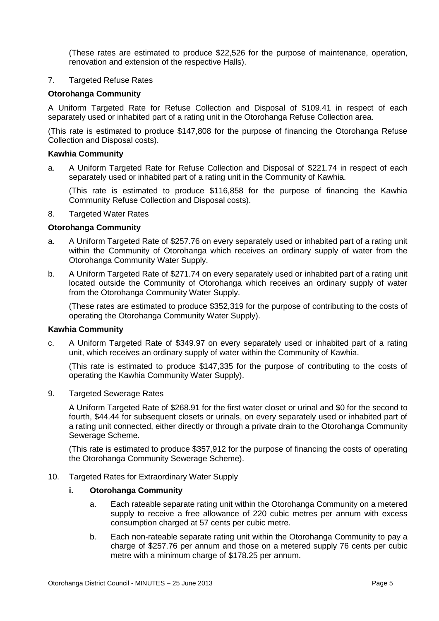(These rates are estimated to produce \$22,526 for the purpose of maintenance, operation, renovation and extension of the respective Halls).

#### 7. Targeted Refuse Rates

#### **Otorohanga Community**

A Uniform Targeted Rate for Refuse Collection and Disposal of \$109.41 in respect of each separately used or inhabited part of a rating unit in the Otorohanga Refuse Collection area.

(This rate is estimated to produce \$147,808 for the purpose of financing the Otorohanga Refuse Collection and Disposal costs).

#### **Kawhia Community**

a. A Uniform Targeted Rate for Refuse Collection and Disposal of \$221.74 in respect of each separately used or inhabited part of a rating unit in the Community of Kawhia.

(This rate is estimated to produce \$116,858 for the purpose of financing the Kawhia Community Refuse Collection and Disposal costs).

#### 8. Targeted Water Rates

#### **Otorohanga Community**

- a. A Uniform Targeted Rate of \$257.76 on every separately used or inhabited part of a rating unit within the Community of Otorohanga which receives an ordinary supply of water from the Otorohanga Community Water Supply.
- b. A Uniform Targeted Rate of \$271.74 on every separately used or inhabited part of a rating unit located outside the Community of Otorohanga which receives an ordinary supply of water from the Otorohanga Community Water Supply.

(These rates are estimated to produce \$352,319 for the purpose of contributing to the costs of operating the Otorohanga Community Water Supply).

#### **Kawhia Community**

c. A Uniform Targeted Rate of \$349.97 on every separately used or inhabited part of a rating unit, which receives an ordinary supply of water within the Community of Kawhia.

(This rate is estimated to produce \$147,335 for the purpose of contributing to the costs of operating the Kawhia Community Water Supply).

9. Targeted Sewerage Rates

A Uniform Targeted Rate of \$268.91 for the first water closet or urinal and \$0 for the second to fourth, \$44.44 for subsequent closets or urinals, on every separately used or inhabited part of a rating unit connected, either directly or through a private drain to the Otorohanga Community Sewerage Scheme.

(This rate is estimated to produce \$357,912 for the purpose of financing the costs of operating the Otorohanga Community Sewerage Scheme).

#### 10. Targeted Rates for Extraordinary Water Supply

#### **i. Otorohanga Community**

- a. Each rateable separate rating unit within the Otorohanga Community on a metered supply to receive a free allowance of 220 cubic metres per annum with excess consumption charged at 57 cents per cubic metre.
- b. Each non-rateable separate rating unit within the Otorohanga Community to pay a charge of \$257.76 per annum and those on a metered supply 76 cents per cubic metre with a minimum charge of \$178.25 per annum.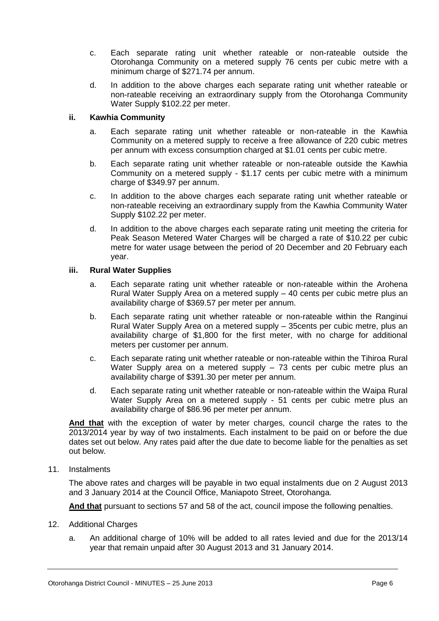- c. Each separate rating unit whether rateable or non-rateable outside the Otorohanga Community on a metered supply 76 cents per cubic metre with a minimum charge of \$271.74 per annum.
- d. In addition to the above charges each separate rating unit whether rateable or non-rateable receiving an extraordinary supply from the Otorohanga Community Water Supply \$102.22 per meter.

#### **ii. Kawhia Community**

- a. Each separate rating unit whether rateable or non-rateable in the Kawhia Community on a metered supply to receive a free allowance of 220 cubic metres per annum with excess consumption charged at \$1.01 cents per cubic metre.
- b. Each separate rating unit whether rateable or non-rateable outside the Kawhia Community on a metered supply - \$1.17 cents per cubic metre with a minimum charge of \$349.97 per annum.
- c. In addition to the above charges each separate rating unit whether rateable or non-rateable receiving an extraordinary supply from the Kawhia Community Water Supply \$102.22 per meter.
- d. In addition to the above charges each separate rating unit meeting the criteria for Peak Season Metered Water Charges will be charged a rate of \$10.22 per cubic metre for water usage between the period of 20 December and 20 February each year.

#### **iii. Rural Water Supplies**

- a. Each separate rating unit whether rateable or non-rateable within the Arohena Rural Water Supply Area on a metered supply – 40 cents per cubic metre plus an availability charge of \$369.57 per meter per annum.
- b. Each separate rating unit whether rateable or non-rateable within the Ranginui Rural Water Supply Area on a metered supply – 35cents per cubic metre, plus an availability charge of \$1,800 for the first meter, with no charge for additional meters per customer per annum.
- c. Each separate rating unit whether rateable or non-rateable within the Tihiroa Rural Water Supply area on a metered supply – 73 cents per cubic metre plus an availability charge of \$391.30 per meter per annum.
- d. Each separate rating unit whether rateable or non-rateable within the Waipa Rural Water Supply Area on a metered supply - 51 cents per cubic metre plus an availability charge of \$86.96 per meter per annum.

**And that** with the exception of water by meter charges, council charge the rates to the 2013/2014 year by way of two instalments. Each instalment to be paid on or before the due dates set out below. Any rates paid after the due date to become liable for the penalties as set out below.

11. Instalments

The above rates and charges will be payable in two equal instalments due on 2 August 2013 and 3 January 2014 at the Council Office, Maniapoto Street, Otorohanga.

**And that** pursuant to sections 57 and 58 of the act, council impose the following penalties.

- 12. Additional Charges
	- a. An additional charge of 10% will be added to all rates levied and due for the 2013/14 year that remain unpaid after 30 August 2013 and 31 January 2014.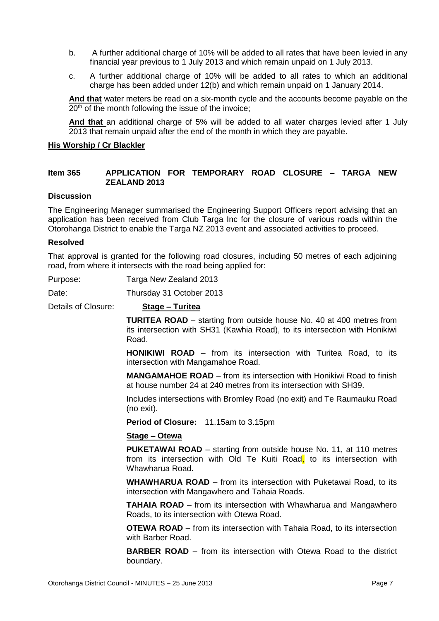- b. A further additional charge of 10% will be added to all rates that have been levied in any financial year previous to 1 July 2013 and which remain unpaid on 1 July 2013.
- c. A further additional charge of 10% will be added to all rates to which an additional charge has been added under 12(b) and which remain unpaid on 1 January 2014.

**And that** water meters be read on a six-month cycle and the accounts become payable on the  $20<sup>th</sup>$  of the month following the issue of the invoice;

**And that** an additional charge of 5% will be added to all water charges levied after 1 July 2013 that remain unpaid after the end of the month in which they are payable.

#### **His Worship / Cr Blackler**

#### **Item 365 APPLICATION FOR TEMPORARY ROAD CLOSURE – TARGA NEW ZEALAND 2013**

#### **Discussion**

The Engineering Manager summarised the Engineering Support Officers report advising that an application has been received from Club Targa Inc for the closure of various roads within the Otorohanga District to enable the Targa NZ 2013 event and associated activities to proceed.

#### **Resolved**

That approval is granted for the following road closures, including 50 metres of each adjoining road, from where it intersects with the road being applied for:

Purpose: Targa New Zealand 2013

Date: Thursday 31 October 2013

Details of Closure: **Stage – Turitea**

**TURITEA ROAD** – starting from outside house No. 40 at 400 metres from its intersection with SH31 (Kawhia Road), to its intersection with Honikiwi Road.

**HONIKIWI ROAD** – from its intersection with Turitea Road, to its intersection with Mangamahoe Road.

**MANGAMAHOE ROAD** – from its intersection with Honikiwi Road to finish at house number 24 at 240 metres from its intersection with SH39.

Includes intersections with Bromley Road (no exit) and Te Raumauku Road (no exit).

**Period of Closure:** 11.15am to 3.15pm

#### **Stage – Otewa**

**PUKETAWAI ROAD** – starting from outside house No. 11, at 110 metres from its intersection with Old Te Kuiti Road, to its intersection with Whawharua Road.

**WHAWHARUA ROAD** – from its intersection with Puketawai Road, to its intersection with Mangawhero and Tahaia Roads.

**TAHAIA ROAD** – from its intersection with Whawharua and Mangawhero Roads, to its intersection with Otewa Road.

**OTEWA ROAD** – from its intersection with Tahaia Road, to its intersection with Barber Road.

**BARBER ROAD** – from its intersection with Otewa Road to the district boundary.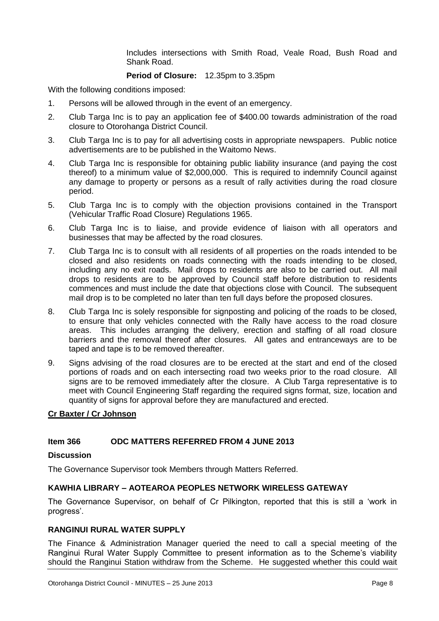Includes intersections with Smith Road, Veale Road, Bush Road and Shank Road.

#### **Period of Closure:** 12.35pm to 3.35pm

With the following conditions imposed:

- 1. Persons will be allowed through in the event of an emergency.
- 2. Club Targa Inc is to pay an application fee of \$400.00 towards administration of the road closure to Otorohanga District Council.
- 3. Club Targa Inc is to pay for all advertising costs in appropriate newspapers. Public notice advertisements are to be published in the Waitomo News.
- 4. Club Targa Inc is responsible for obtaining public liability insurance (and paying the cost thereof) to a minimum value of \$2,000,000. This is required to indemnify Council against any damage to property or persons as a result of rally activities during the road closure period.
- 5. Club Targa Inc is to comply with the objection provisions contained in the Transport (Vehicular Traffic Road Closure) Regulations 1965.
- 6. Club Targa Inc is to liaise, and provide evidence of liaison with all operators and businesses that may be affected by the road closures.
- 7. Club Targa Inc is to consult with all residents of all properties on the roads intended to be closed and also residents on roads connecting with the roads intending to be closed, including any no exit roads. Mail drops to residents are also to be carried out. All mail drops to residents are to be approved by Council staff before distribution to residents commences and must include the date that objections close with Council. The subsequent mail drop is to be completed no later than ten full days before the proposed closures.
- 8. Club Targa Inc is solely responsible for signposting and policing of the roads to be closed, to ensure that only vehicles connected with the Rally have access to the road closure areas. This includes arranging the delivery, erection and staffing of all road closure barriers and the removal thereof after closures. All gates and entranceways are to be taped and tape is to be removed thereafter.
- 9. Signs advising of the road closures are to be erected at the start and end of the closed portions of roads and on each intersecting road two weeks prior to the road closure. All signs are to be removed immediately after the closure. A Club Targa representative is to meet with Council Engineering Staff regarding the required signs format, size, location and quantity of signs for approval before they are manufactured and erected.

## **Cr Baxter / Cr Johnson**

# **Item 366 ODC MATTERS REFERRED FROM 4 JUNE 2013**

#### **Discussion**

The Governance Supervisor took Members through Matters Referred.

# **KAWHIA LIBRARY – AOTEAROA PEOPLES NETWORK WIRELESS GATEWAY**

The Governance Supervisor, on behalf of Cr Pilkington, reported that this is still a 'work in progress'.

# **RANGINUI RURAL WATER SUPPLY**

The Finance & Administration Manager queried the need to call a special meeting of the Ranginui Rural Water Supply Committee to present information as to the Scheme's viability should the Ranginui Station withdraw from the Scheme. He suggested whether this could wait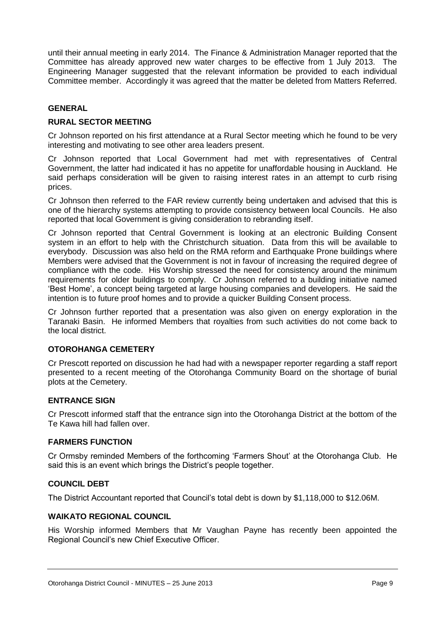until their annual meeting in early 2014. The Finance & Administration Manager reported that the Committee has already approved new water charges to be effective from 1 July 2013. The Engineering Manager suggested that the relevant information be provided to each individual Committee member. Accordingly it was agreed that the matter be deleted from Matters Referred.

#### **GENERAL**

## **RURAL SECTOR MEETING**

Cr Johnson reported on his first attendance at a Rural Sector meeting which he found to be very interesting and motivating to see other area leaders present.

Cr Johnson reported that Local Government had met with representatives of Central Government, the latter had indicated it has no appetite for unaffordable housing in Auckland. He said perhaps consideration will be given to raising interest rates in an attempt to curb rising prices.

Cr Johnson then referred to the FAR review currently being undertaken and advised that this is one of the hierarchy systems attempting to provide consistency between local Councils. He also reported that local Government is giving consideration to rebranding itself.

Cr Johnson reported that Central Government is looking at an electronic Building Consent system in an effort to help with the Christchurch situation. Data from this will be available to everybody. Discussion was also held on the RMA reform and Earthquake Prone buildings where Members were advised that the Government is not in favour of increasing the required degree of compliance with the code. His Worship stressed the need for consistency around the minimum requirements for older buildings to comply. Cr Johnson referred to a building initiative named 'Best Home', a concept being targeted at large housing companies and developers. He said the intention is to future proof homes and to provide a quicker Building Consent process.

Cr Johnson further reported that a presentation was also given on energy exploration in the Taranaki Basin. He informed Members that royalties from such activities do not come back to the local district.

#### **OTOROHANGA CEMETERY**

Cr Prescott reported on discussion he had had with a newspaper reporter regarding a staff report presented to a recent meeting of the Otorohanga Community Board on the shortage of burial plots at the Cemetery.

#### **ENTRANCE SIGN**

Cr Prescott informed staff that the entrance sign into the Otorohanga District at the bottom of the Te Kawa hill had fallen over.

#### **FARMERS FUNCTION**

Cr Ormsby reminded Members of the forthcoming 'Farmers Shout' at the Otorohanga Club. He said this is an event which brings the District's people together.

## **COUNCIL DEBT**

The District Accountant reported that Council's total debt is down by \$1,118,000 to \$12.06M.

#### **WAIKATO REGIONAL COUNCIL**

His Worship informed Members that Mr Vaughan Payne has recently been appointed the Regional Council's new Chief Executive Officer.